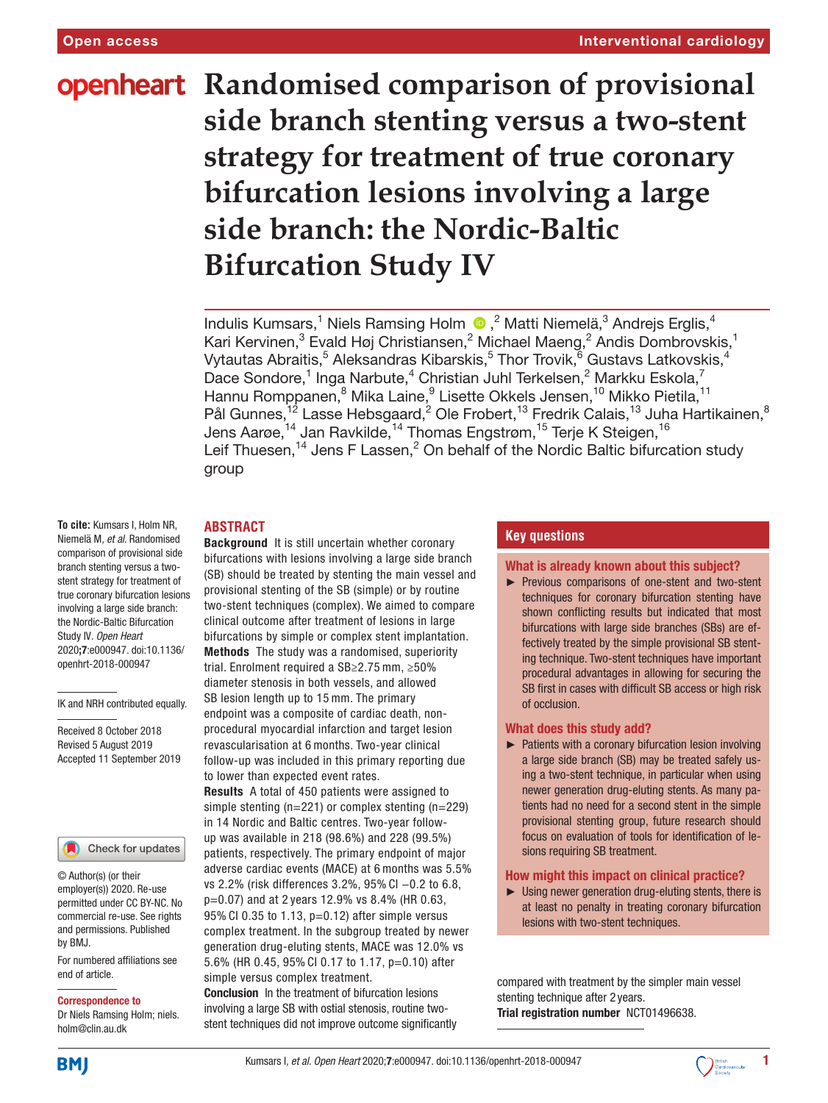# **openheart** Randomised comparison of provisional **side branch stenting versus a two-stent strategy for treatment of true coronary bifurcation lesions involving a large side branch: the Nordic-Baltic Bifurcation Study IV**

IndulisKumsars,<sup>1</sup> Niels Ramsing Holm (D,<sup>2</sup> Matti Niemelä,<sup>3</sup> Andrejs Erglis,<sup>4</sup> Kari Kervinen, $^3$  Evald Høj Christiansen, $^2$  Michael Maeng, $^2$  Andis Dombrovskis, $^1$ Vytautas Abraitis, $^5$  Aleksandras Kibarskis, $^5$  Thor Trovik, $^{\rm \bar{6}}$  Gustavs Latkovskis, $^4$ Dace Sondore,<sup>1</sup> Inga Narbute,<sup>4</sup> Christian Juhl Terkelsen,<sup>2</sup> Markku Eskola,<sup>7</sup> Hannu Romppanen,<sup>8</sup> Mika Laine,<sup>9</sup> Lisette Okkels Jensen,<sup>10</sup> Mikko Pietila,<sup>11</sup> Pål Gunnes, <sup>12</sup> Lasse Hebsgaard, <sup>2</sup> Ole Frobert, <sup>13</sup> Fredrik Calais, <sup>13</sup> Juha Hartikainen, <sup>8</sup> Jens Aarøe, $^{\rm 14}$  Jan Ravkilde, $^{\rm 14}$  Thomas Engstrøm, $^{\rm 15}$  Terje K Steigen, $^{\rm 16}$ Leif Thuesen,<sup>14</sup> Jens F Lassen,<sup>2</sup> On behalf of the Nordic Baltic bifurcation study group

## **Abstract**

**To cite:** Kumsars I, Holm NR, Niemelä M*, et al*. Randomised comparison of provisional side branch stenting versus a twostent strategy for treatment of true coronary bifurcation lesions involving a large side branch: the Nordic-Baltic Bifurcation Study IV*. Open Heart* 2020;7:e000947. doi:10.1136/ openhrt-2018-000947

IK and NRH contributed equally.

Received 8 October 2018 Revised 5 August 2019 Accepted 11 September 2019



© Author(s) (or their employer(s)) 2020. Re-use permitted under CC BY-NC. No commercial re-use. See rights and permissions. Published by BMJ.

For numbered affiliations see end of article.

#### Correspondence to

Dr Niels Ramsing Holm; niels. holm@clin.au.dk

Background It is still uncertain whether coronary bifurcations with lesions involving a large side branch (SB) should be treated by stenting the main vessel and provisional stenting of the SB (simple) or by routine two-stent techniques (complex). We aimed to compare clinical outcome after treatment of lesions in large bifurcations by simple or complex stent implantation. Methods The study was a randomised, superiority trial. Enrolment required a SB≥2.75 mm, ≥50%

diameter stenosis in both vessels, and allowed SB lesion length up to 15 mm. The primary endpoint was a composite of cardiac death, nonprocedural myocardial infarction and target lesion revascularisation at 6 months. Two-year clinical follow-up was included in this primary reporting due to lower than expected event rates.

Results A total of 450 patients were assigned to simple stenting (n=221) or complex stenting (n=229) in 14 Nordic and Baltic centres. Two-year followup was available in 218 (98.6%) and 228 (99.5%) patients, respectively. The primary endpoint of major adverse cardiac events (MACE) at 6 months was 5.5% vs 2.2% (risk differences 3.2%, 95% CI −0.2 to 6.8, p=0.07) and at 2 years 12.9% vs 8.4% (HR 0.63, 95% CI 0.35 to 1.13, p=0.12) after simple versus complex treatment. In the subgroup treated by newer generation drug-eluting stents, MACE was 12.0% vs 5.6% (HR 0.45, 95% CI 0.17 to 1.17, p=0.10) after simple versus complex treatment.

Conclusion In the treatment of bifurcation lesions involving a large SB with ostial stenosis, routine twostent techniques did not improve outcome significantly

## **Key questions**

#### What is already known about this subject?

► Previous comparisons of one-stent and two-stent techniques for coronary bifurcation stenting have shown conflicting results but indicated that most bifurcations with large side branches (SBs) are effectively treated by the simple provisional SB stenting technique. Two-stent techniques have important procedural advantages in allowing for securing the SB first in cases with difficult SB access or high risk of occlusion.

#### What does this study add?

► Patients with a coronary bifurcation lesion involving a large side branch (SB) may be treated safely using a two-stent technique, in particular when using newer generation drug-eluting stents. As many patients had no need for a second stent in the simple provisional stenting group, future research should focus on evaluation of tools for identification of lesions requiring SB treatment.

#### How might this impact on clinical practice?

► Using newer generation drug-eluting stents, there is at least no penalty in treating coronary bifurcation lesions with two-stent techniques.

compared with treatment by the simpler main vessel stenting technique after 2 years. Trial registration number <NCT01496638>.

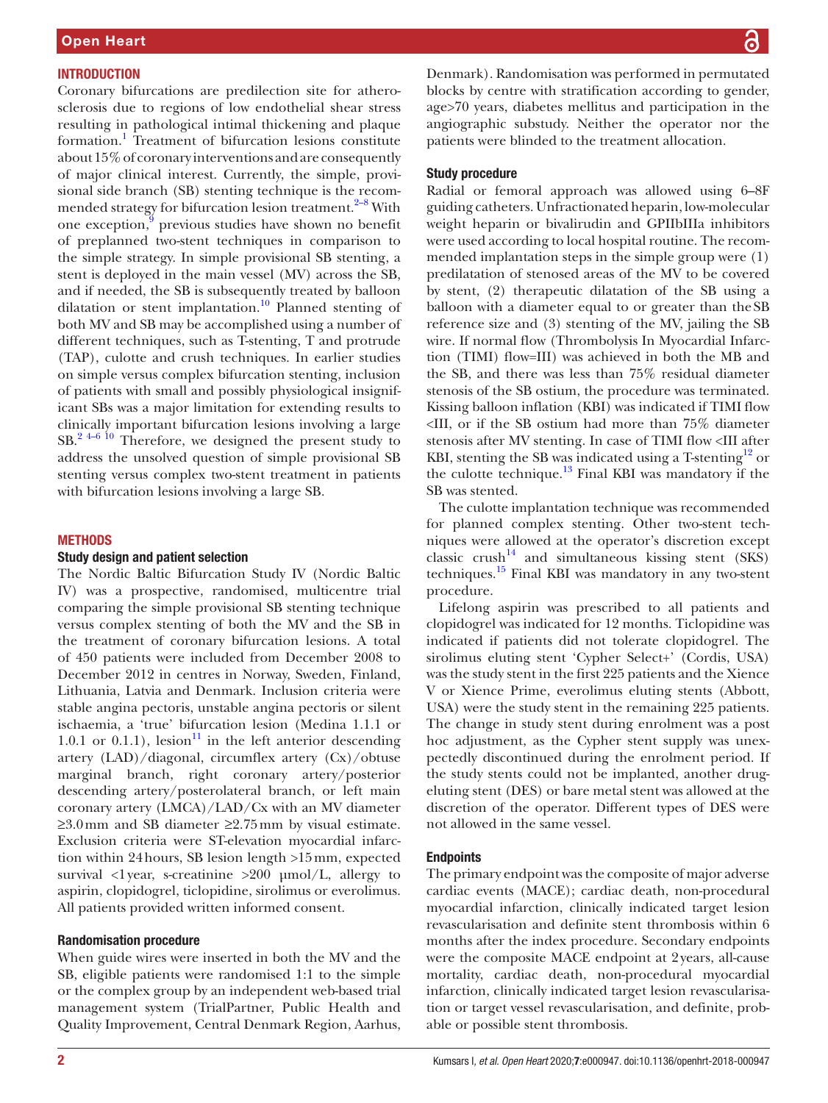## **INTRODUCTION**

Coronary bifurcations are predilection site for atherosclerosis due to regions of low endothelial shear stress resulting in pathological intimal thickening and plaque formation.<sup>[1](#page-10-0)</sup> Treatment of bifurcation lesions constitute about 15% of coronary interventions and are consequently of major clinical interest. Currently, the simple, provisional side branch (SB) stenting technique is the recom-mended strategy for bifurcation lesion treatment.<sup>[2–8](#page-10-1)</sup> With one exception,<sup>[9](#page-11-0)</sup> previous studies have shown no benefit of preplanned two-stent techniques in comparison to the simple strategy. In simple provisional SB stenting, a stent is deployed in the main vessel (MV) across the SB, and if needed, the SB is subsequently treated by balloon dilatation or stent implantation.<sup>10</sup> Planned stenting of both MV and SB may be accomplished using a number of different techniques, such as T-stenting, T and protrude (TAP), culotte and crush techniques. In earlier studies on simple versus complex bifurcation stenting, inclusion of patients with small and possibly physiological insignificant SBs was a major limitation for extending results to clinically important bifurcation lesions involving a large  $SB.<sup>2</sup>$ <sup>4–6 10</sup> Therefore, we designed the present study to address the unsolved question of simple provisional SB stenting versus complex two-stent treatment in patients with bifurcation lesions involving a large SB.

## **METHODS**

#### Study design and patient selection

The Nordic Baltic Bifurcation Study IV (Nordic Baltic IV) was a prospective, randomised, multicentre trial comparing the simple provisional SB stenting technique versus complex stenting of both the MV and the SB in the treatment of coronary bifurcation lesions. A total of 450 patients were included from December 2008 to December 2012 in centres in Norway, Sweden, Finland, Lithuania, Latvia and Denmark. Inclusion criteria were stable angina pectoris, unstable angina pectoris or silent ischaemia, a 'true' bifurcation lesion (Medina 1.1.1 or 1.0.1 or 0.1.1), lesion<sup>11</sup> in the left anterior descending artery (LAD)/diagonal, circumflex artery (Cx)/obtuse marginal branch, right coronary artery/posterior descending artery/posterolateral branch, or left main coronary artery (LMCA)/LAD/Cx with an MV diameter  $≥3.0$  mm and SB diameter  $≥2.75$  mm by visual estimate. Exclusion criteria were ST-elevation myocardial infarction within 24hours, SB lesion length >15mm, expected survival <1 year, s-creatinine >200 µmol/L, allergy to aspirin, clopidogrel, ticlopidine, sirolimus or everolimus. All patients provided written informed consent.

#### Randomisation procedure

When guide wires were inserted in both the MV and the SB, eligible patients were randomised 1:1 to the simple or the complex group by an independent web-based trial management system (TrialPartner, Public Health and Quality Improvement, Central Denmark Region, Aarhus,

Denmark). Randomisation was performed in permutated blocks by centre with stratification according to gender, age>70 years, diabetes mellitus and participation in the angiographic substudy. Neither the operator nor the patients were blinded to the treatment allocation.

#### Study procedure

Radial or femoral approach was allowed using 6–8F guiding catheters. Unfractionated heparin, low-molecular weight heparin or bivalirudin and GPIIbIIIa inhibitors were used according to local hospital routine. The recommended implantation steps in the simple group were (1) predilatation of stenosed areas of the MV to be covered by stent, (2) therapeutic dilatation of the SB using a balloon with a diameter equal to or greater than theSB reference size and (3) stenting of the MV, jailing the SB wire. If normal flow (Thrombolysis In Myocardial Infarction (TIMI) flow=III) was achieved in both the MB and the SB, and there was less than 75% residual diameter stenosis of the SB ostium, the procedure was terminated. Kissing balloon inflation (KBI) was indicated if TIMI flow <III, or if the SB ostium had more than 75% diameter stenosis after MV stenting. In case of TIMI flow <III after KBI, stenting the SB was indicated using a T-stenting<sup>12</sup> or the culotte technique. $^{13}$  Final KBI was mandatory if the SB was stented.

The culotte implantation technique was recommended for planned complex stenting. Other two-stent techniques were allowed at the operator's discretion except  $\text{classic}$  crush<sup>14</sup> and simultaneous kissing stent (SKS) techniques.<sup>15</sup> Final KBI was mandatory in any two-stent procedure.

Lifelong aspirin was prescribed to all patients and clopidogrel was indicated for 12 months. Ticlopidine was indicated if patients did not tolerate clopidogrel. The sirolimus eluting stent 'Cypher Select+' (Cordis, USA) was the study stent in the first 225 patients and the Xience V or Xience Prime, everolimus eluting stents (Abbott, USA) were the study stent in the remaining 225 patients. The change in study stent during enrolment was a post hoc adjustment, as the Cypher stent supply was unexpectedly discontinued during the enrolment period. If the study stents could not be implanted, another drugeluting stent (DES) or bare metal stent was allowed at the discretion of the operator. Different types of DES were not allowed in the same vessel.

#### **Endpoints**

The primary endpoint was the composite of major adverse cardiac events (MACE); cardiac death, non-procedural myocardial infarction, clinically indicated target lesion revascularisation and definite stent thrombosis within 6 months after the index procedure. Secondary endpoints were the composite MACE endpoint at 2years, all-cause mortality, cardiac death, non-procedural myocardial infarction, clinically indicated target lesion revascularisation or target vessel revascularisation, and definite, probable or possible stent thrombosis.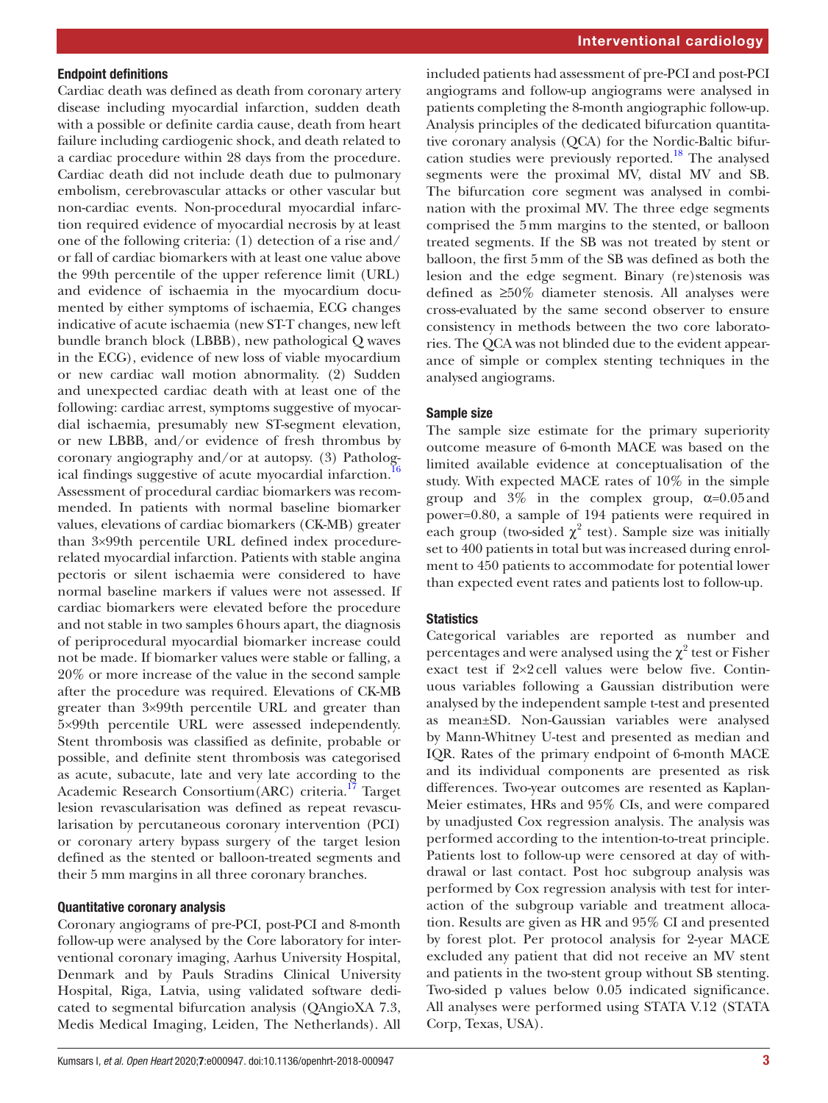#### Endpoint definitions

Cardiac death was defined as death from coronary artery disease including myocardial infarction, sudden death with a possible or definite cardia cause, death from heart failure including cardiogenic shock, and death related to a cardiac procedure within 28 days from the procedure. Cardiac death did not include death due to pulmonary embolism, cerebrovascular attacks or other vascular but non-cardiac events. Non-procedural myocardial infarction required evidence of myocardial necrosis by at least one of the following criteria: (1) detection of a rise and/ or fall of cardiac biomarkers with at least one value above the 99th percentile of the upper reference limit (URL) and evidence of ischaemia in the myocardium documented by either symptoms of ischaemia, ECG changes indicative of acute ischaemia (new ST-T changes, new left bundle branch block (LBBB), new pathological Q waves in the ECG), evidence of new loss of viable myocardium or new cardiac wall motion abnormality. (2) Sudden and unexpected cardiac death with at least one of the following: cardiac arrest, symptoms suggestive of myocardial ischaemia, presumably new ST-segment elevation, or new LBBB, and/or evidence of fresh thrombus by coronary angiography and/or at autopsy. (3) Pathological findings suggestive of acute myocardial infarction.<sup>16</sup> Assessment of procedural cardiac biomarkers was recommended. In patients with normal baseline biomarker values, elevations of cardiac biomarkers (CK-MB) greater than 3×99th percentile URL defined index procedurerelated myocardial infarction. Patients with stable angina pectoris or silent ischaemia were considered to have normal baseline markers if values were not assessed. If cardiac biomarkers were elevated before the procedure and not stable in two samples 6hours apart, the diagnosis of periprocedural myocardial biomarker increase could not be made. If biomarker values were stable or falling, a 20% or more increase of the value in the second sample after the procedure was required. Elevations of CK-MB greater than 3×99th percentile URL and greater than 5×99th percentile URL were assessed independently. Stent thrombosis was classified as definite, probable or possible, and definite stent thrombosis was categorised as acute, subacute, late and very late according to the Academic Research Consortium(ARC) criteria.<sup>17</sup> Target lesion revascularisation was defined as repeat revascularisation by percutaneous coronary intervention (PCI) or coronary artery bypass surgery of the target lesion defined as the stented or balloon-treated segments and their 5 mm margins in all three coronary branches.

## Quantitative coronary analysis

Coronary angiograms of pre-PCI, post-PCI and 8-month follow-up were analysed by the Core laboratory for interventional coronary imaging, Aarhus University Hospital, Denmark and by Pauls Stradins Clinical University Hospital, Riga, Latvia, using validated software dedicated to segmental bifurcation analysis (QAngioXA 7.3, Medis Medical Imaging, Leiden, The Netherlands). All

included patients had assessment of pre-PCI and post-PCI angiograms and follow-up angiograms were analysed in patients completing the 8-month angiographic follow-up. Analysis principles of the dedicated bifurcation quantitative coronary analysis (QCA) for the Nordic-Baltic bifurcation studies were previously reported.<sup>18</sup> The analysed segments were the proximal MV, distal MV and SB. The bifurcation core segment was analysed in combination with the proximal MV. The three edge segments comprised the 5mm margins to the stented, or balloon treated segments. If the SB was not treated by stent or balloon, the first 5mm of the SB was defined as both the lesion and the edge segment. Binary (re)stenosis was defined as ≥50% diameter stenosis. All analyses were cross-evaluated by the same second observer to ensure consistency in methods between the two core laboratories. The QCA was not blinded due to the evident appearance of simple or complex stenting techniques in the analysed angiograms.

## Sample size

The sample size estimate for the primary superiority outcome measure of 6-month MACE was based on the limited available evidence at conceptualisation of the study. With expected MACE rates of 10% in the simple group and  $3\%$  in the complex group,  $\alpha=0.05$  and power=0.80, a sample of 194 patients were required in each group (two-sided  $\chi^2$  test). Sample size was initially set to 400 patients in total but was increased during enrolment to 450 patients to accommodate for potential lower than expected event rates and patients lost to follow-up.

## **Statistics**

Categorical variables are reported as number and percentages and were analysed using the  $\chi^2$  test or Fisher exact test if 2×2 cell values were below five. Continuous variables following a Gaussian distribution were analysed by the independent sample t-test and presented as mean±SD. Non-Gaussian variables were analysed by Mann-Whitney U-test and presented as median and IQR. Rates of the primary endpoint of 6-month MACE and its individual components are presented as risk differences. Two-year outcomes are resented as Kaplan-Meier estimates, HRs and 95% CIs, and were compared by unadjusted Cox regression analysis. The analysis was performed according to the intention-to-treat principle. Patients lost to follow-up were censored at day of withdrawal or last contact. Post hoc subgroup analysis was performed by Cox regression analysis with test for interaction of the subgroup variable and treatment allocation. Results are given as HR and 95% CI and presented by forest plot. Per protocol analysis for 2-year MACE excluded any patient that did not receive an MV stent and patients in the two-stent group without SB stenting. Two-sided p values below 0.05 indicated significance. All analyses were performed using STATA V.12 (STATA Corp, Texas, USA).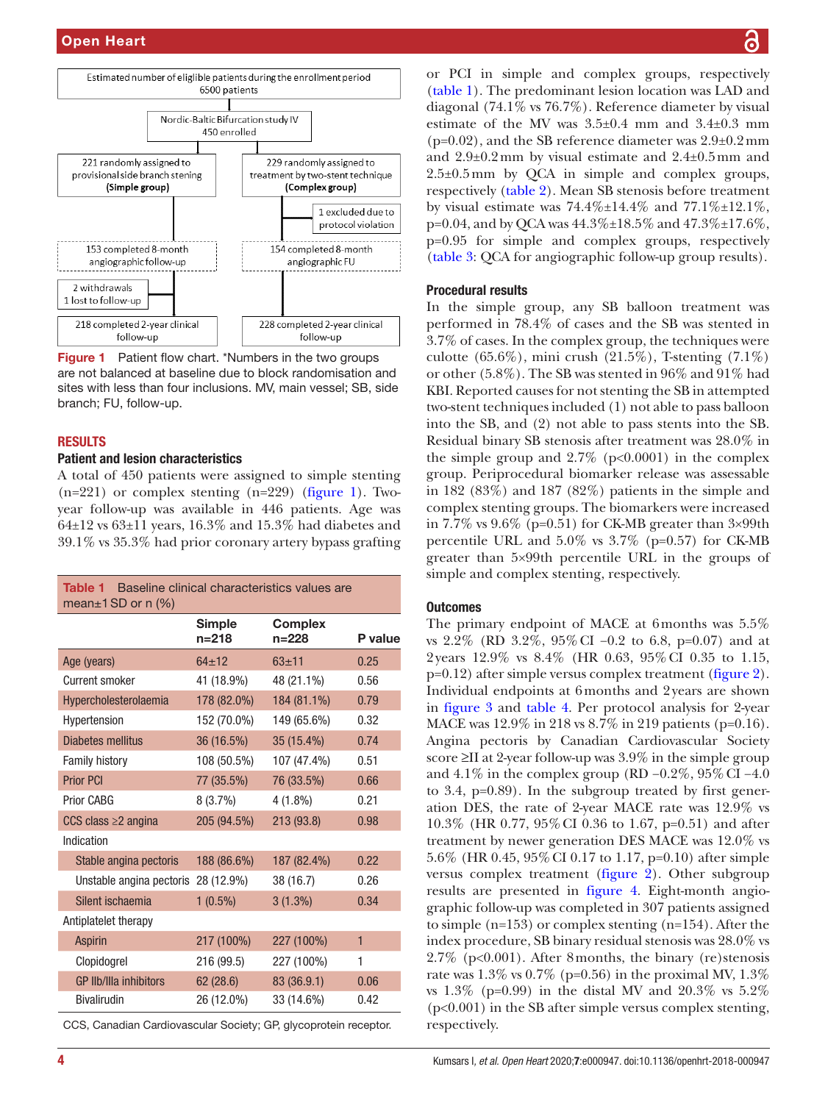

<span id="page-3-0"></span>Figure 1 Patient flow chart. \*Numbers in the two groups are not balanced at baseline due to block randomisation and sites with less than four inclusions. MV, main vessel; SB, side branch; FU, follow-up.

#### **RESULTS**

#### Patient and lesion characteristics

A total of 450 patients were assigned to simple stenting  $(n=221)$  or complex stenting  $(n=229)$  [\(figure](#page-3-0) 1). Twoyear follow-up was available in 446 patients. Age was  $64\pm12$  vs  $63\pm11$  years,  $16.3\%$  and  $15.3\%$  had diabetes and 39.1% vs 35.3% had prior coronary artery bypass grafting

<span id="page-3-1"></span>

| <b>Table 1</b> Baseline clinical characteristics values are<br>mean $\pm$ 1 SD or n (%) |                            |                             |              |  |  |  |
|-----------------------------------------------------------------------------------------|----------------------------|-----------------------------|--------------|--|--|--|
|                                                                                         | <b>Simple</b><br>$n = 218$ | <b>Complex</b><br>$n = 228$ | P value      |  |  |  |
| Age (years)                                                                             | $64 + 12$                  | $63 + 11$                   | 0.25         |  |  |  |
| <b>Current smoker</b>                                                                   | 41 (18.9%)                 | 48 (21.1%)                  | 0.56         |  |  |  |
| Hypercholesterolaemia                                                                   | 178 (82.0%)                | 184 (81.1%)                 | 0.79         |  |  |  |
| Hypertension                                                                            | 152 (70.0%)                | 149 (65.6%)                 | 0.32         |  |  |  |
| Diabetes mellitus                                                                       | 36 (16.5%)                 | 35 (15.4%)                  | 0.74         |  |  |  |
| <b>Family history</b>                                                                   | 108 (50.5%)                | 107 (47.4%)                 | 0.51         |  |  |  |
| <b>Prior PCI</b>                                                                        | 77 (35.5%)                 | 76 (33.5%)                  | 0.66         |  |  |  |
| Prior CABG                                                                              | 8(3.7%)                    | $4(1.8\%)$                  | 0.21         |  |  |  |
| CCS class $\geq$ angina                                                                 | 205 (94.5%)                | 213 (93.8)                  | 0.98         |  |  |  |
| Indication                                                                              |                            |                             |              |  |  |  |
| Stable angina pectoris                                                                  | 188 (86.6%)                | 187 (82.4%)                 | 0.22         |  |  |  |
| Unstable angina pectoris                                                                | 28 (12.9%)                 | 38 (16.7)                   | 0.26         |  |  |  |
| Silent ischaemia                                                                        | $1(0.5\%)$                 | $3(1.3\%)$                  | 0.34         |  |  |  |
| Antiplatelet therapy                                                                    |                            |                             |              |  |  |  |
| <b>Aspirin</b>                                                                          | 217 (100%)                 | 227 (100%)                  | $\mathbf{1}$ |  |  |  |
| Clopidogrel                                                                             | 216 (99.5)                 | 227 (100%)                  | 1            |  |  |  |
| <b>GP IIb/IIIa inhibitors</b>                                                           | 62(28.6)                   | 83 (36.9.1)                 | 0.06         |  |  |  |
| <b>Bivalirudin</b>                                                                      | 26 (12.0%)                 | 33 (14.6%)                  | 0.42         |  |  |  |
|                                                                                         |                            |                             |              |  |  |  |

CCS, Canadian Cardiovascular Society; GP, glycoprotein receptor.

or PCI in simple and complex groups, respectively [\(table](#page-3-1) 1). The predominant lesion location was LAD and diagonal (74.1% vs 76.7%). Reference diameter by visual estimate of the MV was  $3.5\pm0.4$  mm and  $3.4\pm0.3$  mm  $(p=0.02)$ , and the SB reference diameter was  $2.9\pm0.2$  mm and 2.9±0.2mm by visual estimate and 2.4±0.5mm and 2.5±0.5mm by QCA in simple and complex groups, respectively [\(table](#page-4-0) 2). Mean SB stenosis before treatment by visual estimate was  $74.4\% \pm 14.4\%$  and  $77.1\% \pm 12.1\%$ ,  $p=0.04$ , and by OCA was  $44.3\% \pm 18.5\%$  and  $47.3\% \pm 17.6\%$ . p=0.95 for simple and complex groups, respectively [\(table](#page-5-0) 3: QCA for angiographic follow-up group results).

#### Procedural results

In the simple group, any SB balloon treatment was performed in 78.4% of cases and the SB was stented in 3.7% of cases. In the complex group, the techniques were culotte (65.6%), mini crush (21.5%), T-stenting (7.1%) or other (5.8%). The SB was stented in 96% and 91% had KBI. Reported causes for not stenting the SB in attempted two-stent techniques included (1) not able to pass balloon into the SB, and (2) not able to pass stents into the SB. Residual binary SB stenosis after treatment was 28.0% in the simple group and  $2.7\%$  (p<0.0001) in the complex group. Periprocedural biomarker release was assessable in 182 (83%) and 187 (82%) patients in the simple and complex stenting groups. The biomarkers were increased in 7.7% vs 9.6% (p=0.51) for CK-MB greater than 3×99th percentile URL and 5.0% vs 3.7% (p=0.57) for CK-MB greater than 5×99th percentile URL in the groups of simple and complex stenting, respectively.

## **Outcomes**

The primary endpoint of MACE at 6months was 5.5% vs 2.2% (RD 3.2%, 95%CI −0.2 to 6.8, p=0.07) and at 2years 12.9% vs 8.4% (HR 0.63, 95%CI 0.35 to 1.15,  $p=0.12$ ) after simple versus complex treatment [\(figure](#page-6-0) 2). Individual endpoints at 6months and 2years are shown in [figure](#page-7-0) 3 and [table](#page-8-0) 4. Per protocol analysis for 2-year MACE was 12.9% in 218 vs 8.7% in 219 patients (p=0.16). Angina pectoris by Canadian Cardiovascular Society score ≥II at 2-year follow-up was 3.9% in the simple group and 4.1% in the complex group (RD −0.2%, 95%CI −4.0 to 3.4, p=0.89). In the subgroup treated by first generation DES, the rate of 2-year MACE rate was 12.9% vs 10.3% (HR 0.77, 95%CI 0.36 to 1.67, p=0.51) and after treatment by newer generation DES MACE was 12.0% vs 5.6% (HR 0.45, 95%CI 0.17 to 1.17, p=0.10) after simple versus complex treatment ([figure](#page-6-0) 2). Other subgroup results are presented in [figure](#page-9-0) 4. Eight-month angiographic follow-up was completed in 307 patients assigned to simple (n=153) or complex stenting (n=154). After the index procedure, SB binary residual stenosis was 28.0% vs 2.7% (p<0.001). After 8months, the binary (re)stenosis rate was  $1.3\%$  vs  $0.7\%$  (p=0.56) in the proximal MV,  $1.3\%$ vs 1.3% (p=0.99) in the distal MV and 20.3% vs 5.2% (p<0.001) in the SB after simple versus complex stenting, respectively.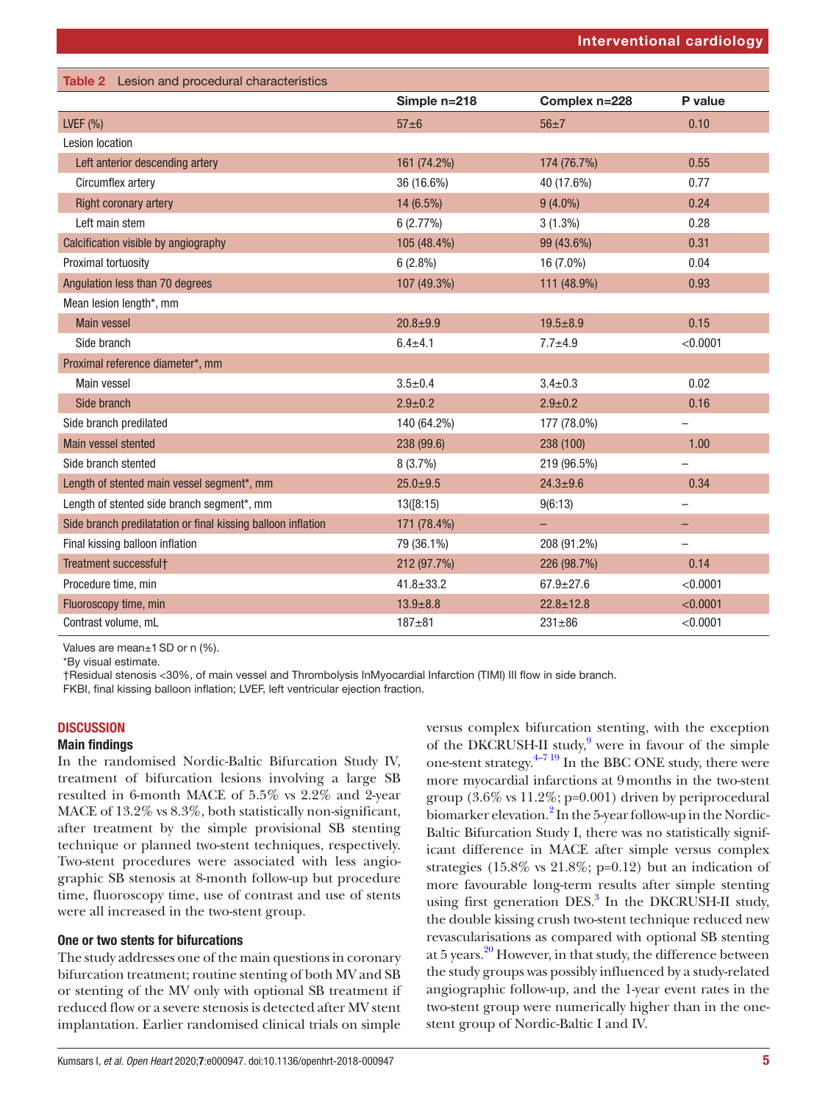<span id="page-4-0"></span>

| Table 2 Lesion and procedural characteristics                |                 |                 |          |
|--------------------------------------------------------------|-----------------|-----------------|----------|
|                                                              | Simple n=218    | Complex n=228   | P value  |
| LVEF $(% )$                                                  | $57\pm6$        | $56 + 7$        | 0.10     |
| <b>Lesion location</b>                                       |                 |                 |          |
| Left anterior descending artery                              | 161 (74.2%)     | 174 (76.7%)     | 0.55     |
| Circumflex artery                                            | 36 (16.6%)      | 40 (17.6%)      | 0.77     |
| <b>Right coronary artery</b>                                 | 14 (6.5%)       | $9(4.0\%)$      | 0.24     |
| Left main stem                                               | 6(2.77%)        | $3(1.3\%)$      | 0.28     |
| Calcification visible by angiography                         | 105 (48.4%)     | 99 (43.6%)      | 0.31     |
| Proximal tortuosity                                          | $6(2.8\%)$      | 16 (7.0%)       | 0.04     |
| Angulation less than 70 degrees                              | 107 (49.3%)     | 111 (48.9%)     | 0.93     |
| Mean lesion length*, mm                                      |                 |                 |          |
| <b>Main vessel</b>                                           | $20.8 + 9.9$    | $19.5 + 8.9$    | 0.15     |
| Side branch                                                  | $6.4 + 4.1$     | $7.7 + 4.9$     | < 0.0001 |
| Proximal reference diameter*, mm                             |                 |                 |          |
| Main vessel                                                  | $3.5 \pm 0.4$   | $3.4 \pm 0.3$   | 0.02     |
| Side branch                                                  | $2.9 \pm 0.2$   | $2.9 \pm 0.2$   | 0.16     |
| Side branch predilated                                       | 140 (64.2%)     | 177 (78.0%)     |          |
| Main vessel stented                                          | 238 (99.6)      | 238 (100)       | 1.00     |
| Side branch stented                                          | $8(3.7\%)$      | 219 (96.5%)     |          |
| Length of stented main vessel segment*, mm                   | $25.0 \pm 9.5$  | $24.3 + 9.6$    | 0.34     |
| Length of stented side branch segment*, mm                   | 13([8:15)]      | 9(6:13)         |          |
| Side branch predilatation or final kissing balloon inflation | 171 (78.4%)     | $\equiv$        |          |
| Final kissing balloon inflation                              | 79 (36.1%)      | 208 (91.2%)     |          |
| Treatment successfult                                        | 212 (97.7%)     | 226 (98.7%)     | 0.14     |
| Procedure time, min                                          | $41.8 \pm 33.2$ | $67.9 \pm 27.6$ | < 0.0001 |
| Fluoroscopy time, min                                        | $13.9 + 8.8$    | $22.8 \pm 12.8$ | < 0.0001 |
| Contrast volume, mL                                          | $187 + 81$      | $231 + 86$      | < 0.0001 |

Values are mean±1SD or n (%).

\*By visual estimate.

†Residual stenosis <30%, of main vessel and Thrombolysis InMyocardial Infarction (TIMI) III flow in side branch.

FKBI, final kissing balloon inflation; LVEF, left ventricular ejection fraction.

## **DISCUSSION**

## Main findings

In the randomised Nordic-Baltic Bifurcation Study IV, treatment of bifurcation lesions involving a large SB resulted in 6-month MACE of 5.5% vs 2.2% and 2-year MACE of 13.2% vs 8.3%, both statistically non-significant, after treatment by the simple provisional SB stenting technique or planned two-stent techniques, respectively. Two-stent procedures were associated with less angiographic SB stenosis at 8-month follow-up but procedure time, fluoroscopy time, use of contrast and use of stents were all increased in the two-stent group.

# One or two stents for bifurcations

The study addresses one of the main questions in coronary bifurcation treatment; routine stenting of both MV and SB or stenting of the MV only with optional SB treatment if reduced flow or a severe stenosis is detected after MV stent implantation. Earlier randomised clinical trials on simple

versus complex bifurcation stenting, with the exception of the DKCRUSH-II study,<sup>9</sup> were in favour of the simple one-stent strategy. $4-719$  In the BBC ONE study, there were more myocardial infarctions at 9months in the two-stent group (3.6% vs 11.2%; p=0.001) driven by periprocedural biomarker elevation.<sup>2</sup> In the 5-year follow-up in the Nordic-Baltic Bifurcation Study I, there was no statistically significant difference in MACE after simple versus complex strategies  $(15.8\% \text{ vs } 21.8\%; \text{p=0.12})$  but an indication of more favourable long-term results after simple stenting using first generation DES.<sup>[3](#page-10-3)</sup> In the DKCRUSH-II study, the double kissing crush two-stent technique reduced new revascularisations as compared with optional SB stenting at 5 years.<sup>20</sup> However, in that study, the difference between the study groups was possibly influenced by a study-related angiographic follow-up, and the 1-year event rates in the two-stent group were numerically higher than in the onestent group of Nordic-Baltic I and IV.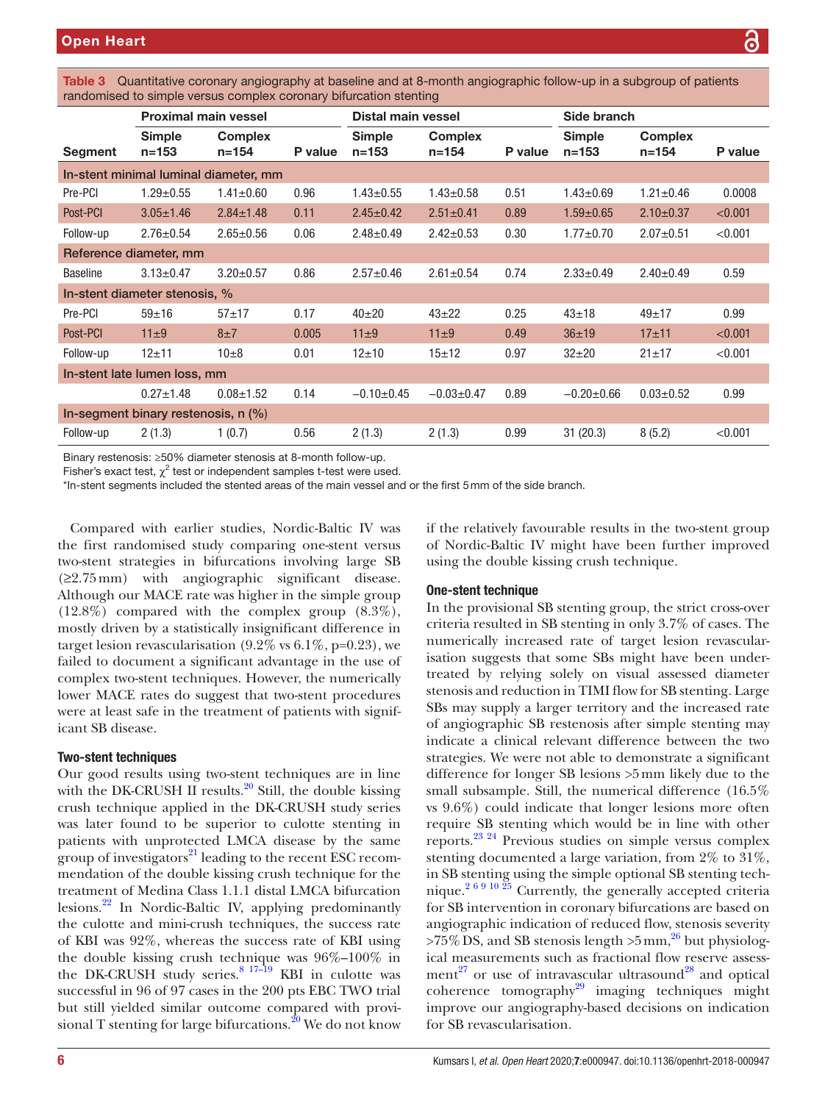| <u>ialiuvilliseu tu siiripie veisus corripiex cororialy bilurcation steritiig</u> |                               |                             |         |                            |                             |         |                            |                             |         |
|-----------------------------------------------------------------------------------|-------------------------------|-----------------------------|---------|----------------------------|-----------------------------|---------|----------------------------|-----------------------------|---------|
|                                                                                   | <b>Proximal main vessel</b>   |                             |         | Distal main vessel         |                             |         | Side branch                |                             |         |
| Segment                                                                           | <b>Simple</b><br>$n = 153$    | <b>Complex</b><br>$n = 154$ | P value | <b>Simple</b><br>$n = 153$ | <b>Complex</b><br>$n = 154$ | P value | <b>Simple</b><br>$n = 153$ | <b>Complex</b><br>$n = 154$ | P value |
| In-stent minimal luminal diameter, mm                                             |                               |                             |         |                            |                             |         |                            |                             |         |
| Pre-PCI                                                                           | $1.29 \pm 0.55$               | $1.41 \pm 0.60$             | 0.96    | $1.43 \pm 0.55$            | $1.43 \pm 0.58$             | 0.51    | $1.43 \pm 0.69$            | $1.21 \pm 0.46$             | 0.0008  |
| Post-PCI                                                                          | $3.05 \pm 1.46$               | $2.84 \pm 1.48$             | 0.11    | $2.45 \pm 0.42$            | $2.51 \pm 0.41$             | 0.89    | $1.59 \pm 0.65$            | $2.10 \pm 0.37$             | < 0.001 |
| Follow-up                                                                         | $2.76 \pm 0.54$               | $2.65 \pm 0.56$             | 0.06    | $2.48 \pm 0.49$            | $2.42 \pm 0.53$             | 0.30    | $1.77 \pm 0.70$            | $2.07 + 0.51$               | < 0.001 |
| Reference diameter, mm                                                            |                               |                             |         |                            |                             |         |                            |                             |         |
| <b>Baseline</b>                                                                   | $3.13 \pm 0.47$               | $3.20 \pm 0.57$             | 0.86    | $2.57 \pm 0.46$            | $2.61 \pm 0.54$             | 0.74    | $2.33 \pm 0.49$            | $2.40 \pm 0.49$             | 0.59    |
|                                                                                   | In-stent diameter stenosis, % |                             |         |                            |                             |         |                            |                             |         |
| Pre-PCI                                                                           | $59 + 16$                     | $57 + 17$                   | 0.17    | $40+20$                    | $43 + 22$                   | 0.25    | $43 + 18$                  | $49 + 17$                   | 0.99    |
| Post-PCI                                                                          | $11\pm9$                      | $8\pm7$                     | 0.005   | $11\pm9$                   | $11\pm9$                    | 0.49    | $36 + 19$                  | $17 + 11$                   | < 0.001 |
| Follow-up                                                                         | $12 + 11$                     | $10\pm8$                    | 0.01    | $12 + 10$                  | $15 + 12$                   | 0.97    | $32 + 20$                  | $21 \pm 17$                 | < 0.001 |
| In-stent late lumen loss, mm                                                      |                               |                             |         |                            |                             |         |                            |                             |         |
|                                                                                   | $0.27 \pm 1.48$               | $0.08 \pm 1.52$             | 0.14    | $-0.10+0.45$               | $-0.03 \pm 0.47$            | 0.89    | $-0.20+0.66$               | $0.03 \pm 0.52$             | 0.99    |
| In-segment binary restenosis, n (%)                                               |                               |                             |         |                            |                             |         |                            |                             |         |
| Follow-up                                                                         | 2(1.3)                        | 1(0.7)                      | 0.56    | 2(1.3)                     | 2(1.3)                      | 0.99    | 31(20.3)                   | 8(5.2)                      | < 0.001 |

<span id="page-5-0"></span>Table 3 Quantitative coronary angiography at baseline and at 8-month angiographic follow-up in a subgroup of patients randomised to simple versus complex coronary bifurcation stenting

Binary restenosis: ≥50% diameter stenosis at 8-month follow-up.

Fisher's exact test,  $\chi^2$  test or independent samples t-test were used.

\*In-stent segments included the stented areas of the main vessel and or the first 5mm of the side branch.

Compared with earlier studies, Nordic-Baltic IV was the first randomised study comparing one-stent versus two-stent strategies in bifurcations involving large SB (≥2.75mm) with angiographic significant disease. Although our MACE rate was higher in the simple group (12.8%) compared with the complex group (8.3%), mostly driven by a statistically insignificant difference in target lesion revascularisation  $(9.2\% \text{ vs } 6.1\%, \text{p=0.23})$ , we failed to document a significant advantage in the use of complex two-stent techniques. However, the numerically lower MACE rates do suggest that two-stent procedures were at least safe in the treatment of patients with significant SB disease.

# Two-stent techniques

Our good results using two-stent techniques are in line with the DK-CRUSH II results.<sup>20</sup> Still, the double kissing crush technique applied in the DK-CRUSH study series was later found to be superior to culotte stenting in patients with unprotected LMCA disease by the same group of investigators<sup>21</sup> leading to the recent ESC recommendation of the double kissing crush technique for the treatment of Medina Class 1.1.1 distal LMCA bifurcation lesions[.22](#page-11-12) In Nordic-Baltic IV, applying predominantly the culotte and mini-crush techniques, the success rate of KBI was 92%, whereas the success rate of KBI using the double kissing crush technique was 96%–100% in the DK-CRUSH study series. $8^{17-19}$  KBI in culotte was successful in 96 of 97 cases in the 200 pts EBC TWO trial but still yielded similar outcome compared with provisional T stenting for large bifurcations.<sup>20</sup> We do not know

if the relatively favourable results in the two-stent group of Nordic-Baltic IV might have been further improved using the double kissing crush technique.

## One-stent technique

In the provisional SB stenting group, the strict cross-over criteria resulted in SB stenting in only 3.7% of cases. The numerically increased rate of target lesion revascularisation suggests that some SBs might have been undertreated by relying solely on visual assessed diameter stenosis and reduction in TIMI flow for SB stenting. Large SBs may supply a larger territory and the increased rate of angiographic SB restenosis after simple stenting may indicate a clinical relevant difference between the two strategies. We were not able to demonstrate a significant difference for longer SB lesions >5mm likely due to the small subsample. Still, the numerical difference (16.5% vs 9.6%) could indicate that longer lesions more often require SB stenting which would be in line with other reports.[23 24](#page-11-14) Previous studies on simple versus complex stenting documented a large variation, from 2% to 31%, in SB stenting using the simple optional SB stenting tech-nique.<sup>[2 6 9 10 25](#page-10-1)</sup> Currently, the generally accepted criteria for SB intervention in coronary bifurcations are based on angiographic indication of reduced flow, stenosis severity  $>75\%$  DS, and SB stenosis length  $>5$  mm,<sup>26</sup> but physiological measurements such as fractional flow reserve assess-ment<sup>27</sup> or use of intravascular ultrasound<sup>[28](#page-11-17)</sup> and optical coherence tomography<sup>29</sup> imaging techniques might improve our angiography-based decisions on indication for SB revascularisation.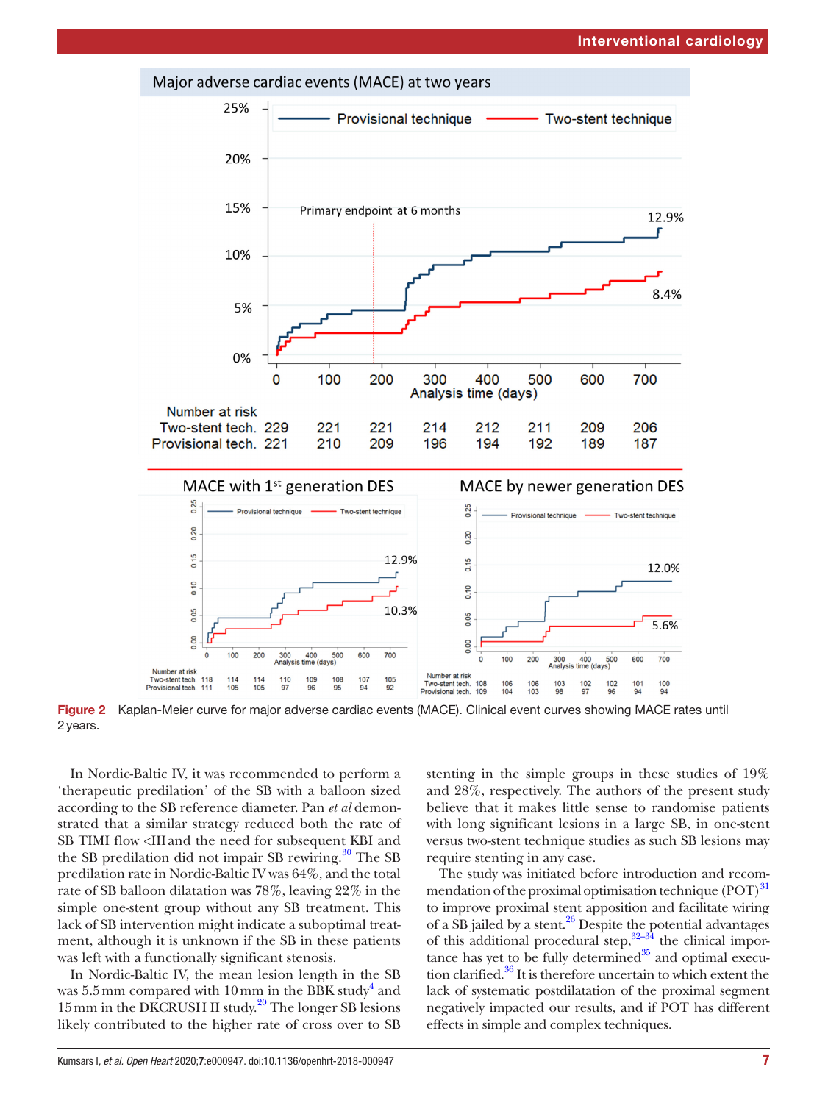

<span id="page-6-0"></span>Figure 2 Kaplan-Meier curve for major adverse cardiac events (MACE). Clinical event curves showing MACE rates until 2years.

In Nordic-Baltic IV, it was recommended to perform a 'therapeutic predilation' of the SB with a balloon sized according to the SB reference diameter. Pan *et al* demonstrated that a similar strategy reduced both the rate of SB TIMI flow <III and the need for subsequent KBI and the SB predilation did not impair SB rewiring. $30$  The SB predilation rate in Nordic-Baltic IV was 64%, and the total rate of SB balloon dilatation was 78%, leaving 22% in the simple one-stent group without any SB treatment. This lack of SB intervention might indicate a suboptimal treatment, although it is unknown if the SB in these patients was left with a functionally significant stenosis.

In Nordic-Baltic IV, the mean lesion length in the SB was  $5.5\,\mathrm{mm}$  compared with  $10\,\mathrm{mm}$  in the BBK study<sup>[4](#page-10-2)</sup> and 15 mm in the DKCRUSH II study.<sup>[20](#page-11-10)</sup> The longer SB lesions likely contributed to the higher rate of cross over to SB

stenting in the simple groups in these studies of 19% and 28%, respectively. The authors of the present study believe that it makes little sense to randomise patients with long significant lesions in a large SB, in one-stent versus two-stent technique studies as such SB lesions may require stenting in any case.

The study was initiated before introduction and recommendation of the proximal optimisation technique  $(POT)^{31}$ to improve proximal stent apposition and facilitate wiring of a  $\overline{SB}$  jailed by a stent.<sup>26</sup> Despite the potential advantages of this additional procedural step, $32-34$  the clinical importance has yet to be fully determined $35$  and optimal execution clarified.<sup>36</sup> It is therefore uncertain to which extent the lack of systematic postdilatation of the proximal segment negatively impacted our results, and if POT has different effects in simple and complex techniques.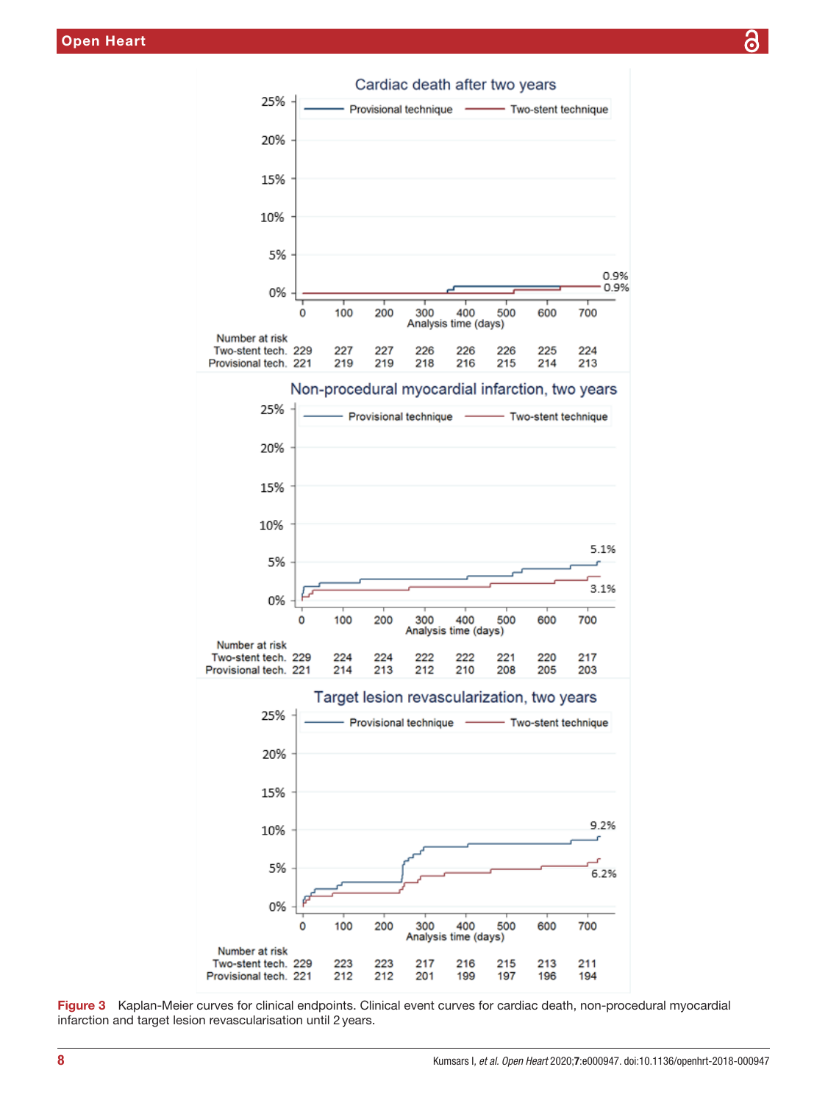

<span id="page-7-0"></span>Figure 3 Kaplan-Meier curves for clinical endpoints. Clinical event curves for cardiac death, non-procedural myocardial infarction and target lesion revascularisation until 2years.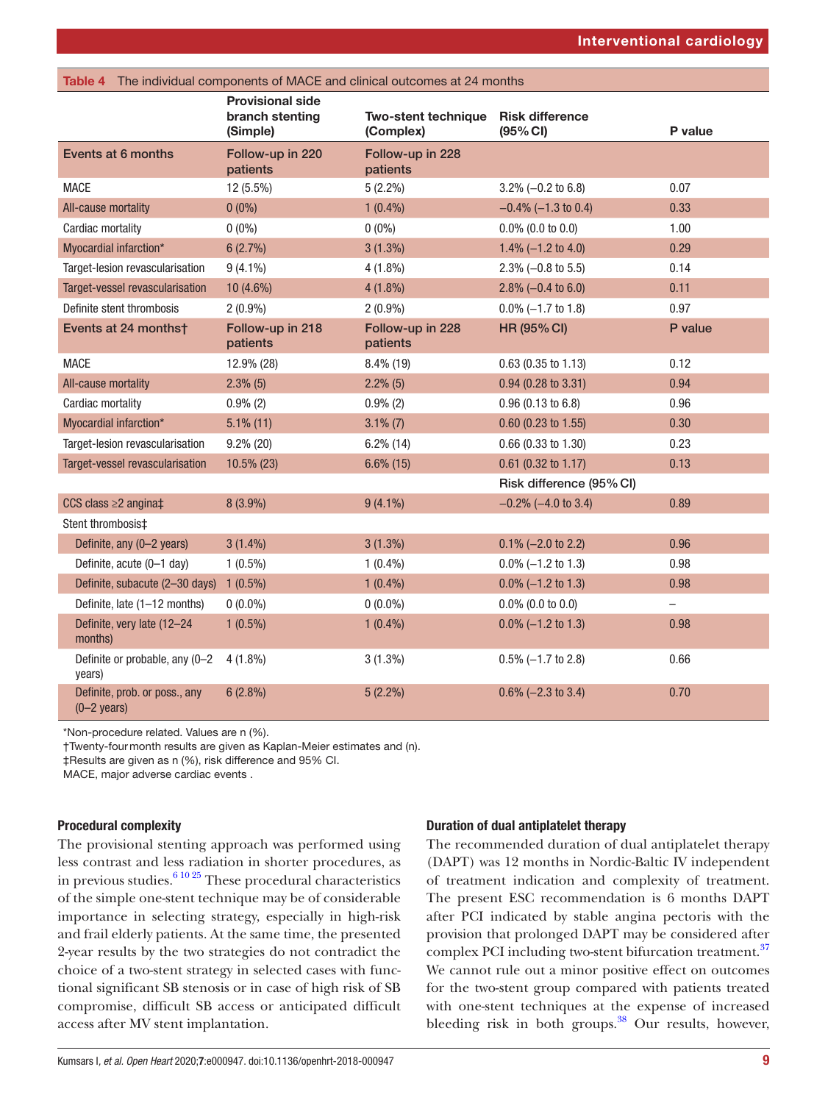<span id="page-8-0"></span>

| The individual components of MACE and clinical outcomes at 24 months<br>Table 4 |                                                        |                                         |                                    |                          |  |  |  |
|---------------------------------------------------------------------------------|--------------------------------------------------------|-----------------------------------------|------------------------------------|--------------------------|--|--|--|
|                                                                                 | <b>Provisional side</b><br>branch stenting<br>(Simple) | <b>Two-stent technique</b><br>(Complex) | <b>Risk difference</b><br>(95% CI) | P value                  |  |  |  |
| Events at 6 months                                                              | Follow-up in 220<br>patients                           | Follow-up in 228<br>patients            |                                    |                          |  |  |  |
| <b>MACE</b>                                                                     | 12 (5.5%)                                              | $5(2.2\%)$                              | $3.2\% (-0.2 \text{ to } 6.8)$     | 0.07                     |  |  |  |
| All-cause mortality                                                             | $0(0\%)$                                               | $1(0.4\%)$                              | $-0.4\%$ (-1.3 to 0.4)             | 0.33                     |  |  |  |
| Cardiac mortality                                                               | $0(0\%)$                                               | $0(0\%)$                                | $0.0\%$ (0.0 to 0.0)               | 1.00                     |  |  |  |
| Myocardial infarction*                                                          | 6(2.7%)                                                | $3(1.3\%)$                              | 1.4% $(-1.2$ to 4.0)               | 0.29                     |  |  |  |
| Target-lesion revascularisation                                                 | $9(4.1\%)$                                             | $4(1.8\%)$                              | $2.3\% (-0.8 \text{ to } 5.5)$     | 0.14                     |  |  |  |
| Target-vessel revascularisation                                                 | 10 (4.6%)                                              | $4(1.8\%)$                              | 2.8% $(-0.4 \text{ to } 6.0)$      | 0.11                     |  |  |  |
| Definite stent thrombosis                                                       | $2(0.9\%)$                                             | $2(0.9\%)$                              | $0.0\% (-1.7 \text{ to } 1.8)$     | 0.97                     |  |  |  |
| Events at 24 months†                                                            | Follow-up in 218<br>patients                           | Follow-up in 228<br>patients            | <b>HR (95% CI)</b>                 | P value                  |  |  |  |
| <b>MACE</b>                                                                     | 12.9% (28)                                             | $8.4\%$ (19)                            | $0.63$ (0.35 to 1.13)              | 0.12                     |  |  |  |
| All-cause mortality                                                             | $2.3\%$ (5)                                            | $2.2\%$ (5)                             | $0.94$ (0.28 to 3.31)              | 0.94                     |  |  |  |
| Cardiac mortality                                                               | $0.9\%$ (2)                                            | $0.9\%$ (2)                             | 0.96(0.13 to 6.8)                  | 0.96                     |  |  |  |
| Myocardial infarction*                                                          | $5.1\%$ (11)                                           | $3.1\%$ (7)                             | $0.60$ (0.23 to 1.55)              | 0.30                     |  |  |  |
| Target-lesion revascularisation                                                 | $9.2\%$ (20)                                           | $6.2\%$ (14)                            | $0.66$ (0.33 to 1.30)              | 0.23                     |  |  |  |
| Target-vessel revascularisation                                                 | 10.5% (23)                                             | $6.6\%$ (15)                            | 0.61 (0.32 to 1.17)                | 0.13                     |  |  |  |
|                                                                                 |                                                        |                                         | Risk difference (95% CI)           |                          |  |  |  |
| CCS class $\geq$ 2 angina $\ddagger$                                            | $8(3.9\%)$                                             | $9(4.1\%)$                              | $-0.2\%$ (-4.0 to 3.4)             | 0.89                     |  |  |  |
| Stent thrombosis‡                                                               |                                                        |                                         |                                    |                          |  |  |  |
| Definite, any (0-2 years)                                                       | $3(1.4\%)$                                             | $3(1.3\%)$                              | $0.1\% (-2.0 \text{ to } 2.2)$     | 0.96                     |  |  |  |
| Definite, acute (0-1 day)                                                       | $1(0.5\%)$                                             | $1(0.4\%)$                              | $0.0\% (-1.2 \text{ to } 1.3)$     | 0.98                     |  |  |  |
| Definite, subacute (2-30 days)                                                  | $1(0.5\%)$                                             | $1(0.4\%)$                              | $0.0\%$ (-1.2 to 1.3)              | 0.98                     |  |  |  |
| Definite, late (1-12 months)                                                    | $0(0.0\%)$                                             | $0(0.0\%)$                              | $0.0\%$ (0.0 to 0.0)               | $\overline{\phantom{0}}$ |  |  |  |
| Definite, very late (12-24<br>months)                                           | $1(0.5\%)$                                             | $1(0.4\%)$                              | $0.0\% (-1.2 \text{ to } 1.3)$     | 0.98                     |  |  |  |
| Definite or probable, any (0-2<br>years)                                        | $4(1.8\%)$                                             | $3(1.3\%)$                              | $0.5\%$ (-1.7 to 2.8)              | 0.66                     |  |  |  |
| Definite, prob. or poss., any<br>$(0-2 \text{ years})$                          | 6(2.8%)                                                | $5(2.2\%)$                              | $0.6\%$ (-2.3 to 3.4)              | 0.70                     |  |  |  |
|                                                                                 |                                                        |                                         |                                    |                          |  |  |  |

\*Non-procedure related. Values are n (%).

†Twenty-fourmonth results are given as Kaplan-Meier estimates and (n).

‡Results are given as n (%), risk difference and 95% CI.

MACE, major adverse cardiac events .

# Procedural complexity

The provisional stenting approach was performed using less contrast and less radiation in shorter procedures, as in previous studies.  $6^{10\,25}$  These procedural characteristics of the simple one-stent technique may be of considerable importance in selecting strategy, especially in high-risk and frail elderly patients. At the same time, the presented 2-year results by the two strategies do not contradict the choice of a two-stent strategy in selected cases with functional significant SB stenosis or in case of high risk of SB compromise, difficult SB access or anticipated difficult access after MV stent implantation.

## Duration of dual antiplatelet therapy

The recommended duration of dual antiplatelet therapy (DAPT) was 12 months in Nordic-Baltic IV independent of treatment indication and complexity of treatment. The present ESC recommendation is 6 months DAPT after PCI indicated by stable angina pectoris with the provision that prolonged DAPT may be considered after complex PCI including two-stent bifurcation treatment.<sup>[37](#page-11-24)</sup> We cannot rule out a minor positive effect on outcomes for the two-stent group compared with patients treated with one-stent techniques at the expense of increased bleeding risk in both groups. $38$  Our results, however,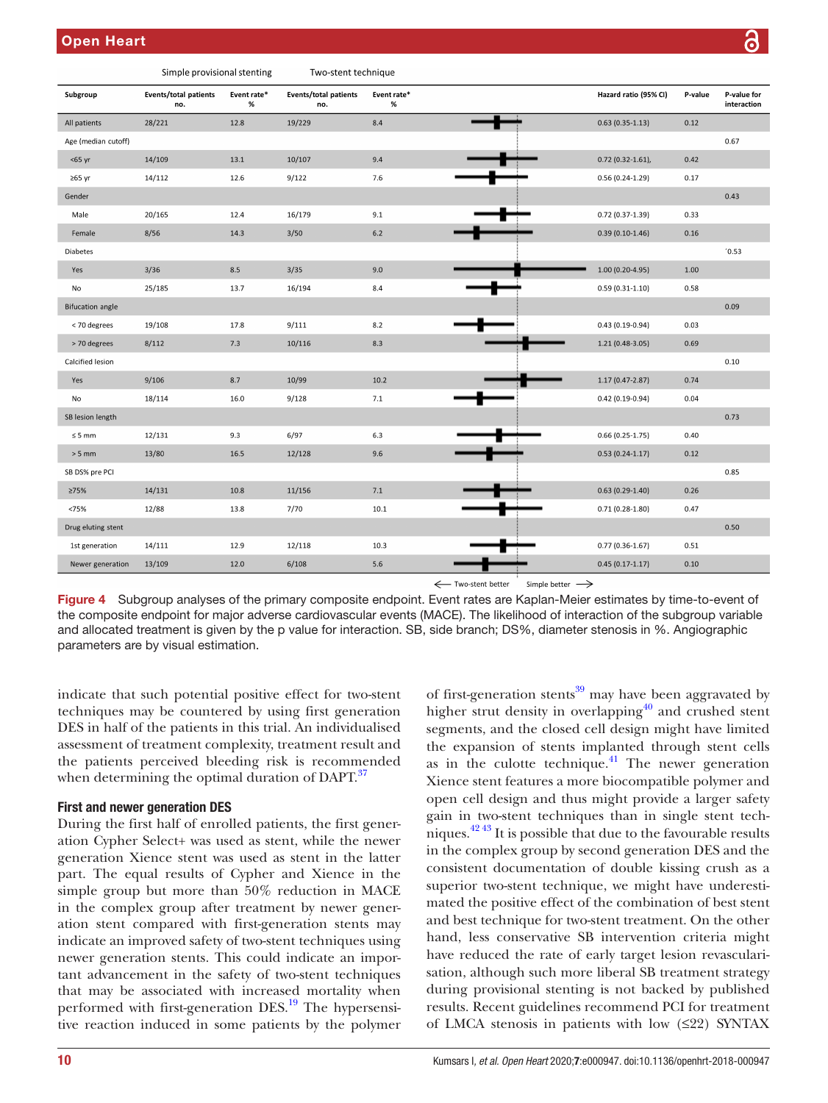|                         | Simple provisional stenting         |                  | Two-stent technique          |                     |                       |         |                            |
|-------------------------|-------------------------------------|------------------|------------------------------|---------------------|-----------------------|---------|----------------------------|
| Subgroup                | <b>Events/total patients</b><br>no. | Event rate*<br>% | Events/total patients<br>no. | Event rate*<br>$\%$ | Hazard ratio (95% CI) | P-value | P-value for<br>interaction |
| All patients            | 28/221                              | 12.8             | 19/229                       | 8.4                 | $0.63(0.35-1.13)$     | 0.12    |                            |
| Age (median cutoff)     |                                     |                  |                              |                     |                       |         | 0.67                       |
| <65 yr                  | 14/109                              | 13.1             | 10/107                       | 9.4                 | $0.72(0.32 - 1.61)$ , | 0.42    |                            |
| $≥65$ yr                | 14/112                              | 12.6             | 9/122                        | 7.6                 | $0.56(0.24-1.29)$     | 0.17    |                            |
| Gender                  |                                     |                  |                              |                     |                       |         | 0.43                       |
| Male                    | 20/165                              | 12.4             | 16/179                       | 9.1                 | $0.72(0.37-1.39)$     | 0.33    |                            |
| Female                  | 8/56                                | 14.3             | 3/50                         | $6.2\,$             | $0.39(0.10-1.46)$     | 0.16    |                            |
| Diabetes                |                                     |                  |                              |                     |                       |         | '0.53                      |
| Yes                     | 3/36                                | 8.5              | 3/35                         | 9.0                 | $1.00(0.20-4.95)$     | 1.00    |                            |
| No                      | 25/185                              | 13.7             | 16/194                       | 8.4                 | $0.59(0.31-1.10)$     | 0.58    |                            |
| <b>Bifucation angle</b> |                                     |                  |                              |                     |                       |         | 0.09                       |
| < 70 degrees            | 19/108                              | 17.8             | 9/111                        | 8.2                 | $0.43(0.19-0.94)$     | 0.03    |                            |
| > 70 degrees            | 8/112                               | 7.3              | 10/116                       | 8.3                 | $1.21(0.48-3.05)$     | 0.69    |                            |
| Calcified lesion        |                                     |                  |                              |                     |                       |         | 0.10                       |
| Yes                     | 9/106                               | 8.7              | 10/99                        | 10.2                | $1.17(0.47 - 2.87)$   | 0.74    |                            |
| No                      | 18/114                              | 16.0             | 9/128                        | 7.1                 | $0.42(0.19-0.94)$     | 0.04    |                            |
| SB lesion length        |                                     |                  |                              |                     |                       |         | 0.73                       |
| $\leq 5\text{ mm}$      | 12/131                              | 9.3              | 6/97                         | 6.3                 | $0.66(0.25-1.75)$     | 0.40    |                            |
| $> 5$ mm                | 13/80                               | 16.5             | 12/128                       | 9.6                 | $0.53(0.24-1.17)$     | 0.12    |                            |
| SB DS% pre PCI          |                                     |                  |                              |                     |                       |         | 0.85                       |
| ≥75%                    | 14/131                              | 10.8             | 11/156                       | 7.1                 | $0.63(0.29-1.40)$     | 0.26    |                            |
| <75%                    | 12/88                               | 13.8             | 7/70                         | 10.1                | $0.71(0.28-1.80)$     | 0.47    |                            |
| Drug eluting stent      |                                     |                  |                              |                     |                       |         | 0.50                       |
| 1st generation          | 14/111                              | 12.9             | 12/118                       | 10.3                | $0.77(0.36-1.67)$     | 0.51    |                            |
| Newer generation        | 13/109                              | 12.0             | 6/108                        | 5.6                 | $0.45(0.17-1.17)$     | 0.10    |                            |

< Two-stent better Simple better  $\rightarrow$ 

<span id="page-9-0"></span>Figure 4 Subgroup analyses of the primary composite endpoint. Event rates are Kaplan-Meier estimates by time-to-event of the composite endpoint for major adverse cardiovascular events (MACE). The likelihood of interaction of the subgroup variable and allocated treatment is given by the p value for interaction. SB, side branch; DS%, diameter stenosis in %. Angiographic parameters are by visual estimation.

indicate that such potential positive effect for two-stent techniques may be countered by using first generation DES in half of the patients in this trial. An individualised assessment of treatment complexity, treatment result and the patients perceived bleeding risk is recommended when determining the optimal duration of DAPT.<sup>37</sup>

# First and newer generation DES

During the first half of enrolled patients, the first generation Cypher Select+ was used as stent, while the newer generation Xience stent was used as stent in the latter part. The equal results of Cypher and Xience in the simple group but more than 50% reduction in MACE in the complex group after treatment by newer generation stent compared with first-generation stents may indicate an improved safety of two-stent techniques using newer generation stents. This could indicate an important advancement in the safety of two-stent techniques that may be associated with increased mortality when performed with first-generation DES.<sup>[19](#page-11-26)</sup> The hypersensitive reaction induced in some patients by the polymer

of first-generation stents<sup>39</sup> may have been aggravated by higher strut density in overlapping<sup>40</sup> and crushed stent segments, and the closed cell design might have limited the expansion of stents implanted through stent cells as in the culotte technique. $41$  The newer generation Xience stent features a more biocompatible polymer and open cell design and thus might provide a larger safety gain in two-stent techniques than in single stent techniques. $42\frac{42\frac{43}{5}}{11}$  It is possible that due to the favourable results in the complex group by second generation DES and the consistent documentation of double kissing crush as a superior two-stent technique, we might have underestimated the positive effect of the combination of best stent and best technique for two-stent treatment. On the other hand, less conservative SB intervention criteria might have reduced the rate of early target lesion revascularisation, although such more liberal SB treatment strategy during provisional stenting is not backed by published results. Recent guidelines recommend PCI for treatment of LMCA stenosis in patients with low (≤22) SYNTAX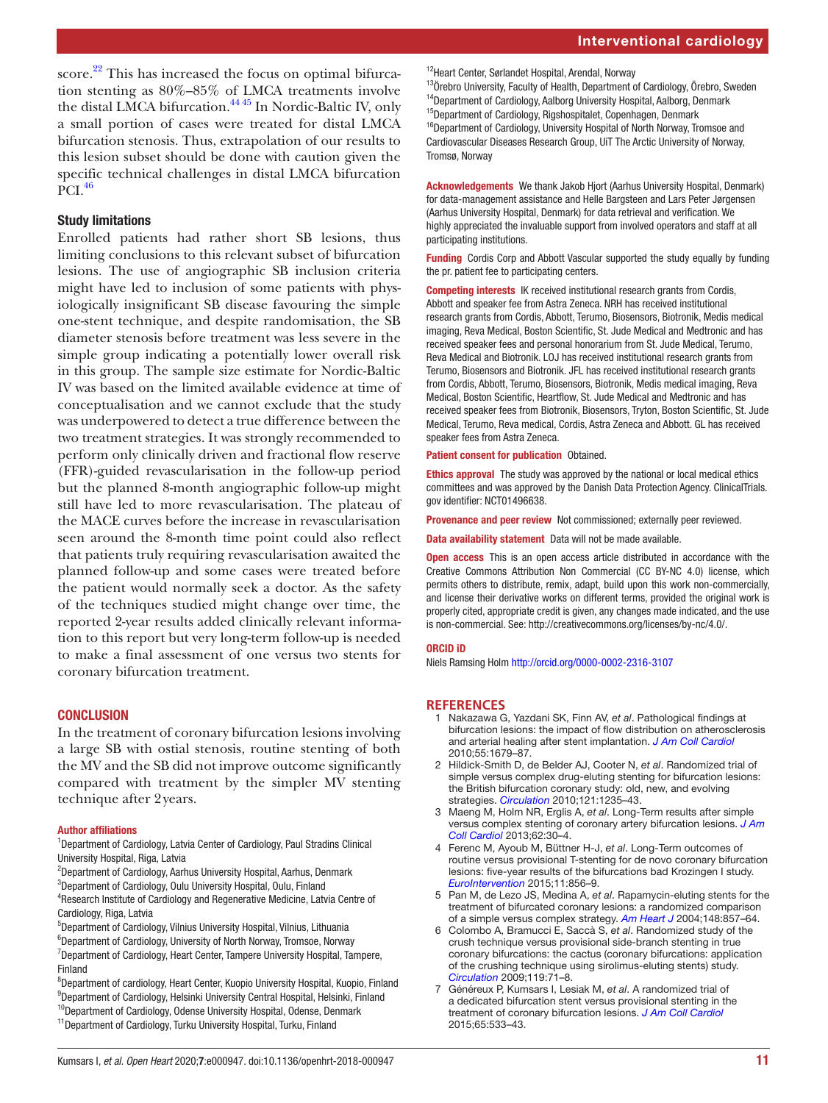score. $22$  This has increased the focus on optimal bifurcation stenting as 80%–85% of LMCA treatments involve the distal LMCA bifurcation.<sup>[44 45](#page-11-31)</sup> In Nordic-Baltic IV, only a small portion of cases were treated for distal LMCA bifurcation stenosis. Thus, extrapolation of our results to this lesion subset should be done with caution given the specific technical challenges in distal LMCA bifurcation  $\rm \tilde{P}Cl.$ <sup>[46](#page-11-32)</sup>

## Study limitations

Enrolled patients had rather short SB lesions, thus limiting conclusions to this relevant subset of bifurcation lesions. The use of angiographic SB inclusion criteria might have led to inclusion of some patients with physiologically insignificant SB disease favouring the simple one-stent technique, and despite randomisation, the SB diameter stenosis before treatment was less severe in the simple group indicating a potentially lower overall risk in this group. The sample size estimate for Nordic-Baltic IV was based on the limited available evidence at time of conceptualisation and we cannot exclude that the study was underpowered to detect a true difference between the two treatment strategies. It was strongly recommended to perform only clinically driven and fractional flow reserve (FFR)-guided revascularisation in the follow-up period but the planned 8-month angiographic follow-up might still have led to more revascularisation. The plateau of the MACE curves before the increase in revascularisation seen around the 8-month time point could also reflect that patients truly requiring revascularisation awaited the planned follow-up and some cases were treated before the patient would normally seek a doctor. As the safety of the techniques studied might change over time, the reported 2-year results added clinically relevant information to this report but very long-term follow-up is needed to make a final assessment of one versus two stents for coronary bifurcation treatment.

## **CONCLUSION**

In the treatment of coronary bifurcation lesions involving a large SB with ostial stenosis, routine stenting of both the MV and the SB did not improve outcome significantly compared with treatment by the simpler MV stenting technique after 2years.

#### Author affiliations

<sup>1</sup>Department of Cardiology, Latvia Center of Cardiology, Paul Stradins Clinical University Hospital, Riga, Latvia

- 2 Department of Cardiology, Aarhus University Hospital, Aarhus, Denmark 3 Department of Cardiology, Oulu University Hospital, Oulu, Finland
- 4 Research Institute of Cardiology and Regenerative Medicine, Latvia Centre of Cardiology, Riga, Latvia
- 5 Department of Cardiology, Vilnius University Hospital, Vilnius, Lithuania
- 6 Department of Cardiology, University of North Norway, Tromsoe, Norway <sup>7</sup>Department of Cardiology, Heart Center, Tampere University Hospital, Tampere, Finland
- <sup>8</sup>Department of cardiology, Heart Center, Kuopio University Hospital, Kuopio, Finland <sup>9</sup>Department of Cardiology, Helsinki University Central Hospital, Helsinki, Finland <sup>10</sup>Department of Cardiology, Odense University Hospital, Odense, Denmark
- <sup>11</sup>Department of Cardiology, Turku University Hospital, Turku, Finland

<sup>12</sup>Heart Center, Sørlandet Hospital, Arendal, Norway

<sup>13</sup>Örebro University, Faculty of Health, Department of Cardiology, Örebro, Sweden <sup>14</sup>Department of Cardiology, Aalborg University Hospital, Aalborg, Denmark <sup>15</sup>Department of Cardiology, Rigshospitalet, Copenhagen, Denmark <sup>16</sup>Department of Cardiology, University Hospital of North Norway, Tromsoe and Cardiovascular Diseases Research Group, UiT The Arctic University of Norway, Tromsø, Norway

Acknowledgements We thank Jakob Hjort (Aarhus University Hospital, Denmark) for data-management assistance and Helle Bargsteen and Lars Peter Jørgensen (Aarhus University Hospital, Denmark) for data retrieval and verification. We highly appreciated the invaluable support from involved operators and staff at all participating institutions.

Funding Cordis Corp and Abbott Vascular supported the study equally by funding the pr. patient fee to participating centers.

Competing interests IK received institutional research grants from Cordis, Abbott and speaker fee from Astra Zeneca. NRH has received institutional research grants from Cordis, Abbott, Terumo, Biosensors, Biotronik, Medis medical imaging, Reva Medical, Boston Scientific, St. Jude Medical and Medtronic and has received speaker fees and personal honorarium from St. Jude Medical, Terumo, Reva Medical and Biotronik. LOJ has received institutional research grants from Terumo, Biosensors and Biotronik. JFL has received institutional research grants from Cordis, Abbott, Terumo, Biosensors, Biotronik, Medis medical imaging, Reva Medical, Boston Scientific, Heartflow, St. Jude Medical and Medtronic and has received speaker fees from Biotronik, Biosensors, Tryton, Boston Scientific, St. Jude Medical, Terumo, Reva medical, Cordis, Astra Zeneca and Abbott. GL has received speaker fees from Astra Zeneca.

Patient consent for publication Obtained.

Ethics approval The study was approved by the national or local medical ethics committees and was approved by the Danish Data Protection Agency. ClinicalTrials. gov identifier: NCT01496638.

Provenance and peer review Not commissioned; externally peer reviewed.

Data availability statement Data will not be made available.

**Open access** This is an open access article distributed in accordance with the Creative Commons Attribution Non Commercial (CC BY-NC 4.0) license, which permits others to distribute, remix, adapt, build upon this work non-commercially, and license their derivative works on different terms, provided the original work is properly cited, appropriate credit is given, any changes made indicated, and the use is non-commercial. See: [http://creativecommons.org/licenses/by-nc/4.0/.](http://creativecommons.org/licenses/by-nc/4.0/)

#### ORCID iD

Niels Ramsing Holm<http://orcid.org/0000-0002-2316-3107>

#### <span id="page-10-0"></span>**References**

- 1 Nakazawa G, Yazdani SK, Finn AV, *et al*. Pathological findings at bifurcation lesions: the impact of flow distribution on atherosclerosis and arterial healing after stent implantation. *[J Am Coll Cardiol](http://dx.doi.org/10.1016/j.jacc.2010.01.021)* 2010;55:1679–87.
- <span id="page-10-1"></span>2 Hildick-Smith D, de Belder AJ, Cooter N, *et al*. Randomized trial of simple versus complex drug-eluting stenting for bifurcation lesions: the British bifurcation coronary study: old, new, and evolving strategies. *[Circulation](http://dx.doi.org/10.1161/CIRCULATIONAHA.109.888297)* 2010;121:1235–43.
- <span id="page-10-3"></span>3 Maeng M, Holm NR, Erglis A, *et al*. Long-Term results after simple versus complex stenting of coronary artery bifurcation lesions. *[J Am](http://dx.doi.org/10.1016/j.jacc.2013.04.015)  [Coll Cardiol](http://dx.doi.org/10.1016/j.jacc.2013.04.015)* 2013;62:30–4.
- <span id="page-10-2"></span>4 Ferenc M, Ayoub M, Büttner H-J, *et al*. Long-Term outcomes of routine versus provisional T-stenting for de novo coronary bifurcation lesions: five-year results of the bifurcations bad Krozingen I study. *[EuroIntervention](http://dx.doi.org/10.4244/EIJV11I8A175)* 2015;11:856–9.
- 5 Pan M, de Lezo JS, Medina A, *et al*. Rapamycin-eluting stents for the treatment of bifurcated coronary lesions: a randomized comparison of a simple versus complex strategy. *[Am Heart J](http://dx.doi.org/10.1016/j.ahj.2004.05.029)* 2004;148:857–64.
- <span id="page-10-4"></span>6 Colombo A, Bramucci E, Saccà S, *et al*. Randomized study of the crush technique versus provisional side-branch stenting in true coronary bifurcations: the cactus (coronary bifurcations: application of the crushing technique using sirolimus-eluting stents) study. *[Circulation](http://dx.doi.org/10.1161/CIRCULATIONAHA.108.808402)* 2009;119:71–8.
- 7 Généreux P, Kumsars I, Lesiak M, *et al*. A randomized trial of a dedicated bifurcation stent versus provisional stenting in the treatment of coronary bifurcation lesions. *[J Am Coll Cardiol](http://dx.doi.org/10.1016/j.jacc.2014.11.031)* 2015;65:533–43.